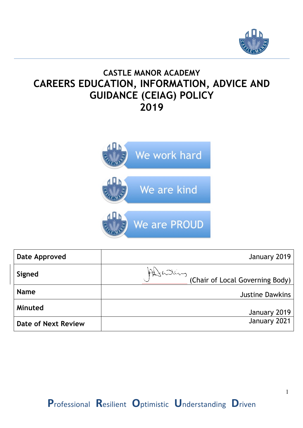

# **CASTLE MANOR ACADEMY CAREERS EDUCATION, INFORMATION, ADVICE AND GUIDANCE (CEIAG) POLICY 2019**



| Date Approved              | January 2019                                |
|----------------------------|---------------------------------------------|
| Signed                     | Altaling<br>(Chair of Local Governing Body) |
| <b>Name</b>                | <b>Justine Dawkins</b>                      |
| Minuted                    | January 2019                                |
| <b>Date of Next Review</b> | January 2021                                |

1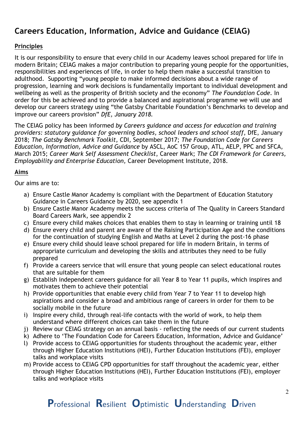# **Careers Education, Information, Advice and Guidance (CEIAG)**

# **Principles**

It is our responsibility to ensure that every child in our Academy leaves school prepared for life in modern Britain; CEIAG makes a major contribution to preparing young people for the opportunities, responsibilities and experiences of life, in order to help them make a successful transition to adulthood. Supporting "young people to make informed decisions about a wide range of progression, learning and work decisions is fundamentally important to individual development and wellbeing as well as the prosperity of British society and the economy" *The Foundation Code.* In order for this be achieved and to provide a balanced and aspirational programme we will use and develop our careers strategy using "the Gatsby Charitable Foundation's Benchmarks to develop and improve our careers provision" *DfE, January 2018.*

The CEIAG policy has been informed *by Careers guidance and access for education and training providers: statutory guidance for governing bodies, school leaders and school staff*, DfE, January 2018; *The Gatsby Benchmark Toolkit,* CDI, September 2017; *The Foundation Code for Careers Education, Information, Advice and Guidance* by ASCL, AoC 157 Group, ATL, AELP, PPC and SFCA, March 2015; *Career Mark Self Assessment Checklist*, Career Mark; *The CDI Framework for Careers, Employability and Enterprise Education,* Career Development Institute, 2018.

## **Aims**

Our aims are to:

- a) Ensure Castle Manor Academy is compliant with the Department of Education Statutory Guidance in Careers Guidance by 2020, see appendix 1
- b) Ensure Castle Manor Academy meets the success criteria of The Quality in Careers Standard Board Careers Mark, see appendix 2
- c) Ensure every child makes choices that enables them to stay in learning or training until 18
- d) Ensure every child and parent are aware of the Raising Participation Age and the conditions for the continuation of studying English and Maths at Level 2 during the post-16 phase
- e) Ensure every child should leave school prepared for life in modern Britain, in terms of appropriate curriculum and developing the skills and attributes they need to be fully prepared
- f) Provide a careers service that will ensure that young people can select educational routes that are suitable for them
- g) Establish independent careers guidance for all Year 8 to Year 11 pupils, which inspires and motivates them to achieve their potential
- h) Provide opportunities that enable every child from Year 7 to Year 11 to develop high aspirations and consider a broad and ambitious range of careers in order for them to be socially mobile in the future
- i) Inspire every child, through real-life contacts with the world of work, to help them understand where different choices can take them in the future
- j) Review our CEIAG strategy on an annual basis reflecting the needs of our current students
- k) Adhere to 'The Foundation Code for Careers Education, Information, Advice and Guidance'
- l) Provide access to CEIAG opportunities for students throughout the academic year, either through Higher Education Institutions (HEI), Further Education Institutions (FEI), employer talks and workplace visits
- m) Provide access to CEIAG CPD opportunities for staff throughout the academic year, either through Higher Education Institutions (HEI), Further Education Institutions (FEI), employer talks and workplace visits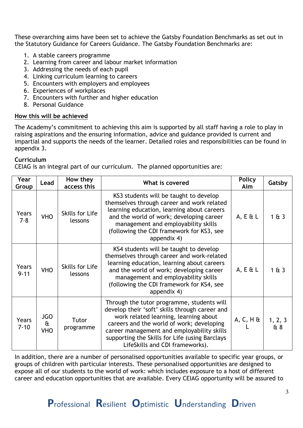These overarching aims have been set to achieve the Gatsby Foundation Benchmarks as set out in the Statutory Guidance for Careers Guidance. The Gatsby Foundation Benchmarks are:

- 1. A stable careers programme
- 2. Learning from career and labour market information
- 3. Addressing the needs of each pupil
- 4. Linking curriculum learning to careers
- 5. Encounters with employers and employees
- 6. Experiences of workplaces
- 7. Encounters with further and higher education
- 8. Personal Guidance

#### **How this will be achieved**

The Academy's commitment to achieving this aim is supported by all staff having a role to play in raising aspirations and the ensuring information, advice and guidance provided is current and impartial and supports the needs of the learner. Detailed roles and responsibilities can be found in appendix 3.

## **Curriculum**

CEIAG is an integral part of our curriculum. The planned opportunities are:

| Year<br>Group     | Lead                                     | How they<br>access this    | What is covered                                                                                                                                                                                                                                                                                                       | <b>Policy</b><br>Aim | Gatsby         |
|-------------------|------------------------------------------|----------------------------|-----------------------------------------------------------------------------------------------------------------------------------------------------------------------------------------------------------------------------------------------------------------------------------------------------------------------|----------------------|----------------|
| Years<br>$7 - 8$  | <b>VHO</b>                               | Skills for Life<br>lessons | KS3 students will be taught to develop<br>themselves through career and work related<br>learning education, learning about careers<br>and the world of work; developing career<br>management and employability skills<br>(following the CDI framework for KS3, see<br>appendix 4)                                     | $A, E \& L$          | 1613           |
| Years<br>$9 - 11$ | <b>VHO</b>                               | Skills for Life<br>lessons | KS4 students will be taught to develop<br>themselves through career and work-related<br>learning education, learning about careers<br>and the world of work; developing career<br>management and employability skills<br>(following the CDI framework for KS4, see<br>appendix 4)                                     | $A, E \& L$          | 1 & 3          |
| Years<br>$7 - 10$ | <b>JGO</b><br>$\mathbf{a}$<br><b>VHO</b> | Tutor<br>programme         | Through the tutor programme, students will<br>develop their 'soft' skills through career and<br>work related learning, learning about<br>careers and the world of work; developing<br>career management and employability skills<br>supporting the Skills for Life (using Barclays<br>LifeSkills and CDI frameworks). | $A, C, H$ &          | 1, 2, 3<br>& 8 |

In addition, there are a number of personalised opportunities available to specific year groups, or groups of children with particular interests. These personalised opportunities are designed to expose all of our students to the world of work: which includes exposure to a host of different career and education opportunities that are available. Every CEIAG opportunity will be assured to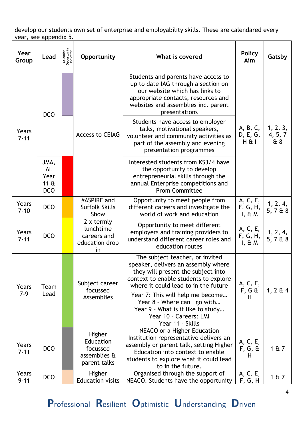develop our students own set of enterprise and employability skills. These are calendared every year, see appendix 5.

| Year<br>Group     | Lead                                                | Calendar<br>Opportunity<br>Indicator | Opportunity                                                                                                                                                                                                | What is covered                                                                                                                                                                                                                                                                                                                                      | <b>Policy</b><br>Aim              | Gatsby                     |
|-------------------|-----------------------------------------------------|--------------------------------------|------------------------------------------------------------------------------------------------------------------------------------------------------------------------------------------------------------|------------------------------------------------------------------------------------------------------------------------------------------------------------------------------------------------------------------------------------------------------------------------------------------------------------------------------------------------------|-----------------------------------|----------------------------|
|                   | <b>DCO</b>                                          |                                      |                                                                                                                                                                                                            | Students and parents have access to<br>up to date IAG through a section on<br>our website which has links to<br>appropriate contacts, resources and<br>websites and assemblies inc. parent<br>presentations                                                                                                                                          |                                   |                            |
| Years<br>$7 - 11$ |                                                     |                                      | <b>Access to CEIAG</b>                                                                                                                                                                                     | Students have access to employer<br>talks, motivational speakers,<br>volunteer and community activities as<br>part of the assembly and evening<br>presentation programmes                                                                                                                                                                            | A, B, C,<br>D, E, G,<br>$H \& I$  | 1, 2, 3,<br>4, 5, 7<br>& 8 |
|                   | JMA,<br>AL<br>Year<br>$11 \text{ ft}$<br><b>DCO</b> |                                      |                                                                                                                                                                                                            | Interested students from KS3/4 have<br>the opportunity to develop<br>entrepreneurial skills through the<br>annual Enterprise competitions and<br><b>Prom Committee</b>                                                                                                                                                                               |                                   |                            |
| Years<br>$7 - 10$ | <b>DCO</b>                                          |                                      | #ASPIRE and<br><b>Suffolk Skills</b><br>Show                                                                                                                                                               | Opportunity to meet people from<br>different careers and investigate the<br>world of work and education                                                                                                                                                                                                                                              | A, C, E,<br>F, G, H,<br>$I, \& M$ | 1, 2, 4,<br>5, 7 & 8       |
| Years<br>$7 - 11$ | <b>DCO</b>                                          |                                      | $2 \times$ termly<br>Opportunity to meet different<br>lunchtime<br>employers and training providers to<br>careers and<br>understand different career roles and<br>education drop<br>education routes<br>in |                                                                                                                                                                                                                                                                                                                                                      | A, C, E,<br>F, G, H,<br>$I, \& M$ | 1, 2, 4,<br>5, 768         |
| Years<br>$7-9$    | Team<br>Lead                                        |                                      | Subject career<br>focussed<br>Assemblies                                                                                                                                                                   | The subject teacher, or invited<br>speaker, delivers an assembly where<br>they will present the subject into<br>context to enable students to explore<br>where it could lead to in the future<br>Year 7: This will help me become<br>Year 8 - Where can I go with<br>Year 9 - What is it like to study<br>Year 10 - Careers: LMI<br>Year 11 - Skills | A, C, E,<br>$F, G \&$<br>H        | $1, 2 \mathrm{ft} 4$       |
| Years<br>$7 - 11$ | <b>DCO</b>                                          |                                      | Higher<br>Education<br>focussed<br>assemblies &<br>parent talks                                                                                                                                            | NEACO or a Higher Education<br>Institution representative delivers an<br>assembly or parent talk, setting Higher<br>Education into context to enable<br>students to explore what it could lead<br>to in the future.                                                                                                                                  | A, C, E,<br>$F, G, \&$<br>H       | 1 & 7                      |
| Years<br>$9 - 11$ | <b>DCO</b>                                          |                                      | Higher<br><b>Education visits</b>                                                                                                                                                                          | Organised through the support of<br>NEACO. Students have the opportunity                                                                                                                                                                                                                                                                             | A, C, E,<br><u>F, G, H</u>        | 1 & 7                      |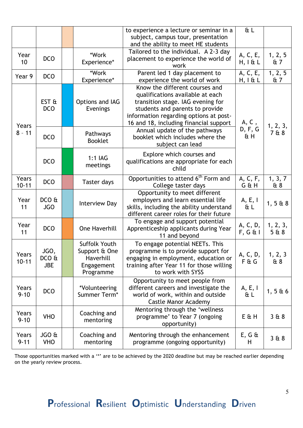|                    |                                 |                                                                        | to experience a lecture or seminar in a<br>subject, campus tour, presentation<br>and the ability to meet HE students                                                                                                           | $t$ L                   |                 |
|--------------------|---------------------------------|------------------------------------------------------------------------|--------------------------------------------------------------------------------------------------------------------------------------------------------------------------------------------------------------------------------|-------------------------|-----------------|
| Year<br>10         | <b>DCO</b>                      | *Work<br>Experience*                                                   | Tailored to the individual. A 2-3 day<br>placement to experience the world of<br>work                                                                                                                                          | A, C, E,<br>H, I & L    | 1, 2, 5<br>&7   |
| Year 9             | <b>DCO</b>                      | *Work<br>Experience*                                                   | Parent led 1 day placement to<br>experience the world of work                                                                                                                                                                  | A, C, E,<br>$H, I \& L$ | 1, 2, 5<br>& 7  |
| Years              | EST <sub>ft</sub><br><b>DCO</b> | Options and IAG<br>Evenings                                            | Know the different courses and<br>qualifications available at each<br>transition stage. IAG evening for<br>students and parents to provide<br>information regarding options at post-<br>16 and 18, including financial support | A, C,                   | 1, 2, 3,        |
| $8 - 11$           | <b>DCO</b>                      | Pathways<br><b>Booklet</b>                                             | Annual update of the pathways<br>booklet which includes where the<br>subject can lead                                                                                                                                          | D, F, G<br>ŒΗ           | 7 & 8           |
|                    | <b>DCO</b>                      | 1:1 IAG<br>meetings                                                    | Explore which courses and<br>qualifications are appropriate for each<br>child                                                                                                                                                  |                         |                 |
| Years<br>$10 - 11$ | <b>DCO</b>                      | Taster days                                                            | Opportunities to attend 6 <sup>th</sup> Form and<br>College taster days                                                                                                                                                        | A, C, F,<br>G & H       | 1, 3, 7<br>& 8  |
| Year<br>11         | DCOE<br><b>JGO</b>              | <b>Interview Day</b>                                                   | Opportunity to meet different<br>employers and learn essential life<br>skills, including the ability understand<br>different career roles for their future                                                                     | A, E, I<br>ŒΕ           | 1, 5 & 8        |
| Year<br>11         | <b>DCO</b>                      | <b>One Haverhill</b>                                                   | To engage and support potential<br>Apprenticeship applicants during Year<br>11 and beyond                                                                                                                                      | A, C, D,<br>$F, G \& I$ | 1, 2, 3,<br>5&8 |
| Years<br>$10 - 11$ | JGO,<br>DCOE<br><b>JBE</b>      | Suffolk Youth<br>Support & One<br>Haverhill<br>Engagement<br>Programme | To engage potential NEETs. This<br>programme is to provide support for<br>engaging in employment, education or<br>training after Year 11 for those willing<br>to work with SYSS                                                | A, C, D,<br>F & G       | 1, 2, 3<br>& 8  |
| Years<br>$9 - 10$  | <b>DCO</b>                      | *Volunteering<br>Summer Term*                                          | Opportunity to meet people from<br>different careers and investigate the<br>world of work, within and outside<br>Castle Manor Academy                                                                                          | A, E, I<br>&Γ           | 1, 566          |
| Years<br>$9 - 10$  | <b>VHO</b>                      | Coaching and<br>mentoring                                              | Mentoring through the 'wellness<br>programme' to Year 7 (ongoing<br>opportunity)                                                                                                                                               | E & H                   | 368             |
| Years<br>$9 - 11$  | JGO &<br><b>VHO</b>             | Coaching and<br>mentoring                                              | Mentoring through the enhancement<br>programme (ongoing opportunity)                                                                                                                                                           | $E, G \&$<br>H          | 368             |

Those opportunities marked with a '\*' are to be achieved by the 2020 deadline but may be reached earlier depending on the yearly review process.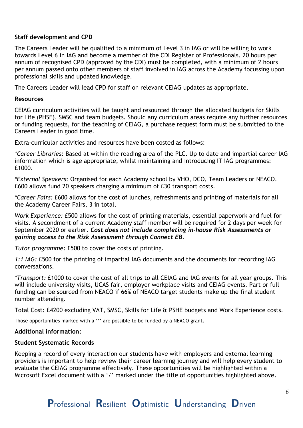#### **Staff development and CPD**

The Careers Leader will be qualified to a minimum of Level 3 in IAG or will be willing to work towards Level 6 in IAG and become a member of the CDI Register of Professionals. 20 hours per annum of recognised CPD (approved by the CDI) must be completed, with a minimum of 2 hours per annum passed onto other members of staff involved in IAG across the Academy focussing upon professional skills and updated knowledge.

The Careers Leader will lead CPD for staff on relevant CEIAG updates as appropriate.

#### **Resources**

CEIAG curriculum activities will be taught and resourced through the allocated budgets for Skills for Life (PHSE), SMSC and team budgets. Should any curriculum areas require any further resources or funding requests, for the teaching of CEIAG, a purchase request form must be submitted to the Careers Leader in good time.

Extra-curricular activities and resources have been costed as follows:

*\*Career Libraries*: Based at within the reading area of the PLC. Up to date and impartial career IAG information which is age appropriate, whilst maintaining and introducing IT IAG programmes: £1000.

*\*External Speakers*: Organised for each Academy school by VHO, DCO, Team Leaders or NEACO. £600 allows fund 20 speakers charging a minimum of £30 transport costs.

*\*Career Fairs:* £600 allows for the cost of lunches, refreshments and printing of materials for all the Academy Career Fairs, 3 in total.

*Work Experience:* £500 allows for the cost of printing materials, essential paperwork and fuel for visits. A secondment of a current Academy staff member will be required for 2 days per week for September 2020 or earlier. *Cost does not include completing in-house Risk Assessments or gaining access to the Risk Assessment through Connect EB.*

*Tutor programme*: £500 to cover the costs of printing.

*1:1 IAG:* £500 for the printing of impartial IAG documents and the documents for recording IAG conversations.

*\*Transport:* £1000 to cover the cost of all trips to all CEIAG and IAG events for all year groups. This will include university visits, UCAS fair, employer workplace visits and CEIAG events. Part or full funding can be sourced from NEACO if 66% of NEACO target students make up the final student number attending.

Total Cost: £4200 excluding VAT, SMSC, Skills for Life & PSHE budgets and Work Experience costs.

Those opportunities marked with a '\*' are possible to be funded by a NEACO grant.

#### **Additional information:**

#### **Student Systematic Records**

Keeping a record of every interaction our students have with employers and external learning providers is important to help review their career learning journey and will help every student to evaluate the CEIAG programme effectively. These opportunities will be highlighted within a Microsoft Excel document with a '/' marked under the title of opportunities highlighted above.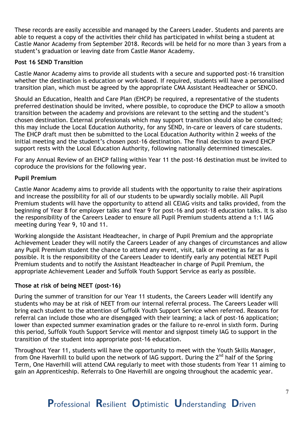These records are easily accessible and managed by the Careers Leader. Students and parents are able to request a copy of the activities their child has participated in whilst being a student at Castle Manor Academy from September 2018. Records will be held for no more than 3 years from a student's graduation or leaving date from Castle Manor Academy.

#### **Post 16 SEND Transition**

Castle Manor Academy aims to provide all students with a secure and supported post-16 transition whether the destination is education or work-based. If required, students will have a personalised transition plan, which must be agreed by the appropriate CMA Assistant Headteacher or SENCO.

Should an Education, Health and Care Plan (EHCP) be required, a representative of the students preferred destination should be invited, where possible, to coproduce the EHCP to allow a smooth transition between the academy and provisions are relevant to the setting and the student's chosen destination. External professionals which may support transition should also be consulted; this may include the Local Education Authority, for any SEND, in-care or leavers of care students. The EHCP draft must then be submitted to the Local Education Authority within 2 weeks of the initial meeting and the student's chosen post-16 destination. The final decision to award EHCP support rests with the Local Education Authority, following nationally determined timescales.

For any Annual Review of an EHCP falling within Year 11 the post-16 destination must be invited to coproduce the provisions for the following year.

#### **Pupil Premium**

Castle Manor Academy aims to provide all students with the opportunity to raise their aspirations and increase the possibility for all of our students to be upwardly socially mobile. All Pupil Premium students will have the opportunity to attend all CEIAG visits and talks provided, from the beginning of Year 8 for employer talks and Year 9 for post-16 and post-18 education talks. It is also the responsibility of the Careers Leader to ensure all Pupil Premium students attend a 1:1 IAG meeting during Year 9, 10 and 11.

Working alongside the Assistant Headteacher, in charge of Pupil Premium and the appropriate Achievement Leader they will notify the Careers Leader of any changes of circumstances and allow any Pupil Premium student the chance to attend any event, visit, talk or meeting as far as is possible. It is the responsibility of the Careers Leader to identify early any potential NEET Pupil Premium students and to notify the Assistant Headteacher in charge of Pupil Premium, the appropriate Achievement Leader and Suffolk Youth Support Service as early as possible.

#### **Those at risk of being NEET (post-16)**

During the summer of transition for our Year 11 students, the Careers Leader will identify any students who may be at risk of NEET from our internal referral process. The Careers Leader will bring each student to the attention of Suffolk Youth Support Service when referred. Reasons for referral can include those who are disengaged with their learning; a lack of post-16 application; lower than expected summer examination grades or the failure to re-enrol in sixth form. During this period, Suffolk Youth Support Service will mentor and signpost timely IAG to support in the transition of the student into appropriate post-16 education.

Throughout Year 11, students will have the opportunity to meet with the Youth Skills Manager, from One Haverhill to build upon the network of IAG support. During the  $2^{nd}$  half of the Spring Term, One Haverhill will attend CMA regularly to meet with those students from Year 11 aiming to gain an Apprenticeship. Referrals to One Haverhill are ongoing throughout the academic year.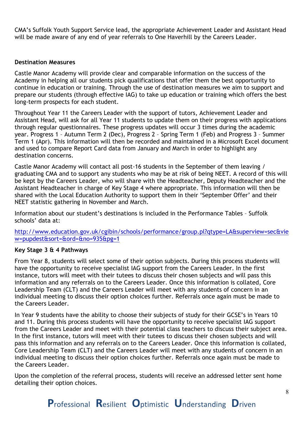CMA's Suffolk Youth Support Service lead, the appropriate Achievement Leader and Assistant Head will be made aware of any end of year referrals to One Haverhill by the Careers Leader.

#### **Destination Measures**

Castle Manor Academy will provide clear and comparable information on the success of the Academy in helping all our students pick qualifications that offer them the best opportunity to continue in education or training. Through the use of destination measures we aim to support and prepare our students (through effective IAG) to take up education or training which offers the best long-term prospects for each student.

Throughout Year 11 the Careers Leader with the support of tutors, Achievement Leader and Assistant Head, will ask for all Year 11 students to update them on their progress with applications through regular questionnaires. These progress updates will occur 3 times during the academic year. Progress 1 – Autumn Term 2 (Dec), Progress 2 – Spring Term 1 (Feb) and Progress 3 – Summer Term 1 (Apr). This information will then be recorded and maintained in a Microsoft Excel document and used to compare Report Card data from January and March in order to highlight any destination concerns.

Castle Manor Academy will contact all post-16 students in the September of them leaving / graduating CMA and to support any students who may be at risk of being NEET. A record of this will be kept by the Careers Leader, who will share with the Headteacher, Deputy Headteacher and the Assistant Headteacher in charge of Key Stage 4 where appropriate. This information will then be shared with the Local Education Authority to support them in their 'September Offer' and their NEET statistic gathering in November and March.

Information about our student's destinations is included in the Performance Tables – Suffolk schools' data at:

http://www.education.gov.uk/cgibin/schools/performance/group.pl?qtype=LA&superview=sec&vie w=pupdest&sort=&ord=&no=935&pg=1

#### **Key Stage 3 & 4 Pathways**

From Year 8, students will select some of their option subjects. During this process students will have the opportunity to receive specialist IAG support from the Careers Leader. In the first instance, tutors will meet with their tutees to discuss their chosen subjects and will pass this information and any referrals on to the Careers Leader. Once this information is collated, Core Leadership Team (CLT) and the Careers Leader will meet with any students of concern in an individual meeting to discuss their option choices further. Referrals once again must be made to the Careers Leader.

In Year 9 students have the ability to choose their subjects of study for their GCSE's in Years 10 and 11. During this process students will have the opportunity to receive specialist IAG support from the Careers Leader and meet with their potential class teachers to discuss their subject area. In the first instance, tutors will meet with their tutees to discuss their chosen subjects and will pass this information and any referrals on to the Careers Leader. Once this information is collated, Core Leadership Team (CLT) and the Careers Leader will meet with any students of concern in an individual meeting to discuss their option choices further. Referrals once again must be made to the Careers Leader.

Upon the completion of the referral process, students will receive an addressed letter sent home detailing their option choices.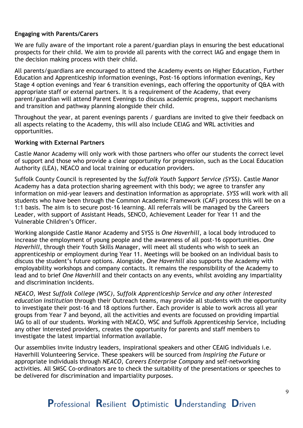#### **Engaging with Parents/Carers**

We are fully aware of the important role a parent/guardian plays in ensuring the best educational prospects for their child. We aim to provide all parents with the correct IAG and engage them in the decision making process with their child.

All parents/guardians are encouraged to attend the Academy events on Higher Education, Further Education and Apprenticeship information evenings, Post-16 options information evenings, Key Stage 4 option evenings and Year 6 transition evenings, each offering the opportunity of Q&A with appropriate staff or external partners. It is a requirement of the Academy, that every parent/guardian will attend Parent Evenings to discuss academic progress, support mechanisms and transition and pathway planning alongside their child.

Throughout the year, at parent evenings parents / guardians are invited to give their feedback on all aspects relating to the Academy, this will also include CEIAG and WRL activities and opportunities.

#### **Working with External Partners**

Castle Manor Academy will only work with those partners who offer our students the correct level of support and those who provide a clear opportunity for progression, such as the Local Education Authority (LEA), NEACO and local training or education providers.

Suffolk County Council is represented by the *Suffolk Youth Support Service (SYSS)*. Castle Manor Academy has a data protection sharing agreement with this body; we agree to transfer any information on mid-year leavers and destination information as appropriate. *SYSS* will work with all students who have been through the Common Academic Framework (CAF) process this will be on a 1:1 basis. The aim is to secure post-16 learning. All referrals will be managed by the Careers Leader, with support of Assistant Heads, SENCO, Achievement Leader for Year 11 and the Vulnerable Children's Officer.

Working alongside Castle Manor Academy and SYSS is *One Haverhill*, a local body introduced to increase the employment of young people and the awareness of all post-16 opportunities. *One Haverhill*, through their Youth Skills Manager, will meet all students who wish to seek an apprenticeship or employment during Year 11. Meetings will be booked on an individual basis to discuss the student's future options. Alongside, *One Haverhill* also supports the Academy with employability workshops and company contacts. It remains the responsibility of the Academy to lead and to brief *One Haverhill* and their contacts on any events, whilst avoiding any impartiality and discrimination incidents.

*NEACO, West Suffolk College (WSC), Suffolk Apprenticeship Service and any other interested education institution* through their Outreach teams, may provide all students with the opportunity to investigate their post-16 and 18 options further. Each provider is able to work across all year groups from Year 7 and beyond, all the activities and events are focussed on providing impartial IAG to all of our students. Working with NEACO, WSC and Suffolk Apprenticeship Service, including any other interested providers, creates the opportunity for parents and staff members to investigate the latest impartial information available.

Our assemblies invite industry leaders, inspirational speakers and other CEAIG individuals i.e. Haverhill Volunteering Service. These speakers will be sourced from *Inspiring the Future* or appropriate individuals through *NEACO*, *Careers Enterprise Company* and self-networking activities. All SMSC Co-ordinators are to check the suitability of the presentations or speeches to be delivered for discrimination and impartiality purposes.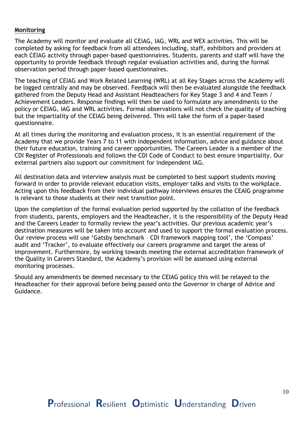#### **Monitoring**

The Academy will monitor and evaluate all CEIAG, IAG, WRL and WEX activities. This will be completed by asking for feedback from all attendees including, staff, exhibitors and providers at each CEIAG activity through paper-based questionnaires. Students, parents and staff will have the opportunity to provide feedback through regular evaluation activities and, during the formal observation period through paper-based questionnaires.

The teaching of CEIAG and Work Related Learning (WRL) at all Key Stages across the Academy will be logged centrally and may be observed. Feedback will then be evaluated alongside the feedback gathered from the Deputy Head and Assistant Headteachers for Key Stage 3 and 4 and Team / Achievement Leaders. Response findings will then be used to formulate any amendments to the policy or CEIAG, IAG and WRL activities. Formal observations will not check the quality of teaching but the impartiality of the CEIAG being delivered. This will take the form of a paper-based questionnaire.

At all times during the monitoring and evaluation process, it is an essential requirement of the Academy that we provide Years 7 to 11 with independent information, advice and guidance about their future education, training and career opportunities. The Careers Leader is a member of the CDI Register of Professionals and follows the CDI Code of Conduct to best ensure impartiality. Our external partners also support our commitment for independent IAG.

All destination data and interview analysis must be completed to best support students moving forward in order to provide relevant education visits, employer talks and visits to the workplace. Acting upon this feedback from their individual pathway interviews ensures the CEAIG programme is relevant to those students at their next transition point.

Upon the completion of the formal evaluation period supported by the collation of the feedback from students, parents, employers and the Headteacher, it is the responsibility of the Deputy Head and the Careers Leader to formally review the year's activities. Our previous academic year's destination measures will be taken into account and used to support the formal evaluation process. Our review process will use 'Gatsby benchmark – CDI framework mapping tool', the 'Compass' audit and 'Tracker', to evaluate effectively our careers programme and target the areas of improvement. Furthermore, by working towards meeting the external accreditation framework of the Quality in Careers Standard, the Academy's provision will be assessed using external monitoring processes.

Should any amendments be deemed necessary to the CEIAG policy this will be relayed to the Headteacher for their approval before being passed onto the Governor in charge of Advice and Guidance.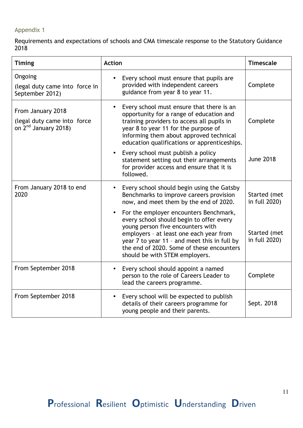## Appendix 1

Requirements and expectations of schools and CMA timescale response to the Statutory Guidance 2018

| <b>Timing</b>                                                              | <b>Action</b>                                                                                                                                                                                                                                                                                     | <b>Timescale</b>              |
|----------------------------------------------------------------------------|---------------------------------------------------------------------------------------------------------------------------------------------------------------------------------------------------------------------------------------------------------------------------------------------------|-------------------------------|
| Ongoing<br>(legal duty came into force in<br>September 2012)               | Every school must ensure that pupils are<br>$\bullet$<br>provided with independent careers<br>guidance from year 8 to year 11.                                                                                                                                                                    | Complete                      |
| From January 2018<br>(legal duty came into force<br>on $2nd$ January 2018) | Every school must ensure that there is an<br>$\bullet$<br>opportunity for a range of education and<br>training providers to access all pupils in<br>year 8 to year 11 for the purpose of<br>informing them about approved technical<br>education qualifications or apprenticeships.               | Complete                      |
|                                                                            | Every school must publish a policy<br>$\bullet$<br>statement setting out their arrangements<br>for provider access and ensure that it is<br>followed.                                                                                                                                             | <b>June 2018</b>              |
| From January 2018 to end<br>2020                                           | Every school should begin using the Gatsby<br>Benchmarks to improve careers provision<br>now, and meet them by the end of 2020.                                                                                                                                                                   | Started (met<br>in full 2020) |
|                                                                            | For the employer encounters Benchmark,<br>every school should begin to offer every<br>young person five encounters with<br>employers - at least one each year from<br>year 7 to year 11 - and meet this in full by<br>the end of 2020. Some of these encounters<br>should be with STEM employers. | Started (met<br>in full 2020) |
| From September 2018                                                        | Every school should appoint a named<br>person to the role of Careers Leader to<br>lead the careers programme.                                                                                                                                                                                     | Complete                      |
| From September 2018                                                        | Every school will be expected to publish<br>$\bullet$<br>details of their careers programme for<br>young people and their parents.                                                                                                                                                                | Sept. 2018                    |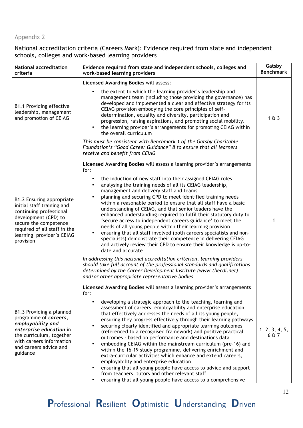# Appendix 2

National accreditation criteria (Careers Mark): Evidence required from state and independent schools, colleges and work-based learning providers

| <b>National accreditation</b><br>criteria                                                                                                                                                                     | Evidence required from state and independent schools, colleges and<br>work-based learning providers                                                                                                                                                                                                                                                                                                                                                                                                                                                                                                                                                                                                                                                                                                                                                                                                                                                                                                                                                                                                                                                                                                              |                         |
|---------------------------------------------------------------------------------------------------------------------------------------------------------------------------------------------------------------|------------------------------------------------------------------------------------------------------------------------------------------------------------------------------------------------------------------------------------------------------------------------------------------------------------------------------------------------------------------------------------------------------------------------------------------------------------------------------------------------------------------------------------------------------------------------------------------------------------------------------------------------------------------------------------------------------------------------------------------------------------------------------------------------------------------------------------------------------------------------------------------------------------------------------------------------------------------------------------------------------------------------------------------------------------------------------------------------------------------------------------------------------------------------------------------------------------------|-------------------------|
|                                                                                                                                                                                                               | Licensed Awarding Bodies will assess:                                                                                                                                                                                                                                                                                                                                                                                                                                                                                                                                                                                                                                                                                                                                                                                                                                                                                                                                                                                                                                                                                                                                                                            |                         |
| B1.1 Providing effective<br>leadership, management<br>and promotion of CEIAG                                                                                                                                  | the extent to which the learning provider's leadership and<br>$\bullet$<br>management team (including those providing the governance) has<br>developed and implemented a clear and effective strategy for its<br>CEIAG provision embodying the core principles of self-<br>determination, equality and diversity, participation and<br>progression, raising aspirations, and promoting social mobility.<br>the learning provider's arrangements for promoting CEIAG within<br>$\bullet$<br>the overall curriculum<br>This must be consistent with Benchmark 1 of the Gatsby Charitable                                                                                                                                                                                                                                                                                                                                                                                                                                                                                                                                                                                                                           | $1 \& 3$                |
|                                                                                                                                                                                                               | Foundation's "Good Career Guidance" 8 to ensure that all learners<br>receive and benefit from CEIAG                                                                                                                                                                                                                                                                                                                                                                                                                                                                                                                                                                                                                                                                                                                                                                                                                                                                                                                                                                                                                                                                                                              |                         |
| B1.2 Ensuring appropriate<br>initial staff training and<br>continuing professional<br>development (CPD) to<br>secure the competence<br>required of all staff in the<br>learning provider's CEIAG<br>provision | Licensed Awarding Bodies will assess a learning provider's arrangements<br>for:<br>the induction of new staff into their assigned CEIAG roles<br>٠<br>analysing the training needs of all its CEIAG leadership,<br>$\bullet$<br>management and delivery staff and teams<br>planning and securing CPD to meet identified training needs<br>$\bullet$<br>within a reasonable period to ensure that all staff have a basic<br>understanding of CEIAG, and that senior leaders have the<br>enhanced understanding required to fulfil their statutory duty to<br>'secure access to independent careers guidance' to meet the<br>needs of all young people within their learning provision<br>ensuring that all staff involved (both careers specialists and non-<br>$\bullet$<br>specialists) demonstrate their competence in delivering CEIAG<br>and actively review their CPD to ensure their knowledge is up-to-<br>date and accurate<br>In addressing this national accreditation criterion, learning providers<br>should take full account of the professional standards and qualifications<br>determined by the Career Development Institute (www.thecdi.net)<br>and/or other appropriate representative bodies | 1                       |
| B1.3 Providing a planned<br>programme of careers,<br>employability and<br>enterprise education in<br>the curriculum, together<br>with careers information<br>and careers advice and<br>guidance               | Licensed Awarding Bodies will assess a learning provider's arrangements<br>for:<br>developing a strategic approach to the teaching, learning and<br>$\bullet$<br>assessment of careers, employability and enterprise education<br>that effectively addresses the needs of all its young people,<br>ensuring they progress effectively through their learning pathways<br>securing clearly identified and appropriate learning outcomes<br>$\bullet$<br>(referenced to a recognised framework) and positive practical<br>outcomes - based on performance and destinations data<br>embedding CEIAG within the mainstream curriculum (pre-16) and<br>$\bullet$<br>within the 16-19 study programme, delivering enrichment and<br>extra-curricular activities which enhance and extend careers,<br>employability and enterprise education<br>ensuring that all young people have access to advice and support<br>$\bullet$<br>from teachers, tutors and other relevant staff<br>ensuring that all young people have access to a comprehensive<br>$\bullet$                                                                                                                                                           | 1, 2, 3, 4, 5,<br>6 & 7 |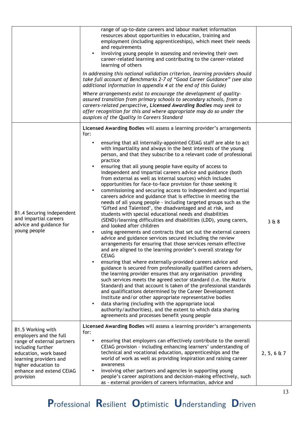|                                                                                                                                                                    | range of up-to-date careers and labour market information<br>resources about opportunities in education, training and<br>employment (including apprenticeships), which meet their needs<br>and requirements<br>involving young people in assessing and reviewing their own<br>$\bullet$<br>career-related learning and contributing to the career-related<br>learning of others                                                                                                                                                                                                                                                                                                                                                                                                                                                                                                                                                                                                                                                                                                                                                                                                                                                                                                                                                                                                                                                                                                                                                                                                                                                                                                                                                                                                                                                                                                                          |                    |
|--------------------------------------------------------------------------------------------------------------------------------------------------------------------|----------------------------------------------------------------------------------------------------------------------------------------------------------------------------------------------------------------------------------------------------------------------------------------------------------------------------------------------------------------------------------------------------------------------------------------------------------------------------------------------------------------------------------------------------------------------------------------------------------------------------------------------------------------------------------------------------------------------------------------------------------------------------------------------------------------------------------------------------------------------------------------------------------------------------------------------------------------------------------------------------------------------------------------------------------------------------------------------------------------------------------------------------------------------------------------------------------------------------------------------------------------------------------------------------------------------------------------------------------------------------------------------------------------------------------------------------------------------------------------------------------------------------------------------------------------------------------------------------------------------------------------------------------------------------------------------------------------------------------------------------------------------------------------------------------------------------------------------------------------------------------------------------------|--------------------|
|                                                                                                                                                                    | In addressing this national validation criterion, learning providers should<br>take full account of Benchmarks 2-7 of "Good Career Guidance" (see also<br>additional information in appendix 4 at the end of this Guide)                                                                                                                                                                                                                                                                                                                                                                                                                                                                                                                                                                                                                                                                                                                                                                                                                                                                                                                                                                                                                                                                                                                                                                                                                                                                                                                                                                                                                                                                                                                                                                                                                                                                                 |                    |
|                                                                                                                                                                    | Where arrangements exist to encourage the development of quality-<br>assured transition from primary schools to secondary schools, from a<br>careers-related perspective, Licensed Awarding Bodies may seek to<br>offer recognition for this and where appropriate may do so under the<br>auspices of the Quality in Careers Standard                                                                                                                                                                                                                                                                                                                                                                                                                                                                                                                                                                                                                                                                                                                                                                                                                                                                                                                                                                                                                                                                                                                                                                                                                                                                                                                                                                                                                                                                                                                                                                    |                    |
|                                                                                                                                                                    | Licensed Awarding Bodies will assess a learning provider's arrangements<br>for:                                                                                                                                                                                                                                                                                                                                                                                                                                                                                                                                                                                                                                                                                                                                                                                                                                                                                                                                                                                                                                                                                                                                                                                                                                                                                                                                                                                                                                                                                                                                                                                                                                                                                                                                                                                                                          |                    |
| B1.4 Securing independent<br>and impartial careers<br>advice and guidance for<br>young people                                                                      | ensuring that all internally-appointed CEIAG staff are able to act<br>$\bullet$<br>with impartiality and always in the best interests of the young<br>person, and that they subscribe to a relevant code of professional<br>practice<br>ensuring that all young people have equity of access to<br>$\bullet$<br>independent and impartial careers advice and guidance (both<br>from external as well as internal sources) which includes<br>opportunities for face-to-face provision for those seeking it<br>commissioning and securing access to independent and impartial<br>$\bullet$<br>careers advice and guidance that is effective in meeting the<br>needs of all young people - including targeted groups such as the<br>'Gifted and Talented', the disadvantaged and at risk, and<br>students with special educational needs and disabilities<br>(SEND)/learning difficulties and disabilities (LDD), young carers,<br>and looked after children<br>using agreements and contracts that set out the external careers<br>advice and guidance services secured including the review<br>arrangements for ensuring that those services remain effective<br>and are aligned to the learning provider's overall strategy for<br><b>CEIAG</b><br>ensuring that where externally-provided careers advice and<br>guidance is secured from professionally qualified careers advisers,<br>the learning provider ensures that any organisation providing<br>such services meets the agreed sector standard (i.e. the Matrix<br>Standard) and that account is taken of the professional standards<br>and qualifications determined by the Career Development<br>Institute and/or other appropriate representative bodies<br>data sharing (including with the appropriate local<br>$\bullet$<br>authority/authorities), and the extent to which data sharing<br>agreements and processes benefit young people | 368                |
| B1.5 Working with<br>employers and the full                                                                                                                        | Licensed Awarding Bodies will assess a learning provider's arrangements<br>for:                                                                                                                                                                                                                                                                                                                                                                                                                                                                                                                                                                                                                                                                                                                                                                                                                                                                                                                                                                                                                                                                                                                                                                                                                                                                                                                                                                                                                                                                                                                                                                                                                                                                                                                                                                                                                          |                    |
| range of external partners<br>including further<br>education, work based<br>learning providers and<br>higher education to<br>enhance and extend CEIAG<br>provision | ensuring that employers can effectively contribute to the overall<br>CEIAG provision - including enhancing learners' understanding of<br>technical and vocational education, apprenticeships and the<br>world of work as well as providing inspiration and raising career<br>awareness<br>involving other partners and agencies in supporting young<br>$\bullet$<br>people's career aspirations and decision-making effectively, such<br>as - external providers of careers information, advice and                                                                                                                                                                                                                                                                                                                                                                                                                                                                                                                                                                                                                                                                                                                                                                                                                                                                                                                                                                                                                                                                                                                                                                                                                                                                                                                                                                                                      | $2, 5, 6 \times 7$ |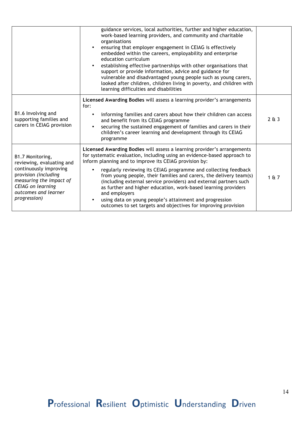|                                                                                                                                                                                                | guidance services, local authorities, further and higher education,<br>work-based learning providers, and community and charitable<br>organisations<br>ensuring that employer engagement in CEIAG is effectively<br>embedded within the careers, employability and enterprise<br>education curriculum<br>establishing effective partnerships with other organisations that<br>support or provide information, advice and guidance for<br>vulnerable and disadvantaged young people such as young carers,<br>looked after children, children living in poverty, and children with<br>learning difficulties and disabilities                  |       |
|------------------------------------------------------------------------------------------------------------------------------------------------------------------------------------------------|---------------------------------------------------------------------------------------------------------------------------------------------------------------------------------------------------------------------------------------------------------------------------------------------------------------------------------------------------------------------------------------------------------------------------------------------------------------------------------------------------------------------------------------------------------------------------------------------------------------------------------------------|-------|
| B1.6 Involving and<br>supporting families and<br>carers in CEIAG provision                                                                                                                     | Licensed Awarding Bodies will assess a learning provider's arrangements<br>for:<br>informing families and carers about how their children can access<br>and benefit from its CEIAG programme<br>securing the sustained engagement of families and carers in their<br>children's career learning and development through its CEIAG<br>programme                                                                                                                                                                                                                                                                                              | 2613  |
| B1.7 Monitoring,<br>reviewing, evaluating and<br>continuously improving<br>provision (including<br>measuring the impact of<br><b>CEIAG</b> on learning<br>outcomes and learner<br>progression) | Licensed Awarding Bodies will assess a learning provider's arrangements<br>for systematic evaluation, including using an evidence-based approach to<br>inform planning and to improve its CEIAG provision by:<br>regularly reviewing its CEIAG programme and collecting feedback<br>from young people, their families and carers, the delivery team(s)<br>(including external service providers) and external partners such<br>as further and higher education, work-based learning providers<br>and employers<br>using data on young people's attainment and progression<br>outcomes to set targets and objectives for improving provision | 1 & 7 |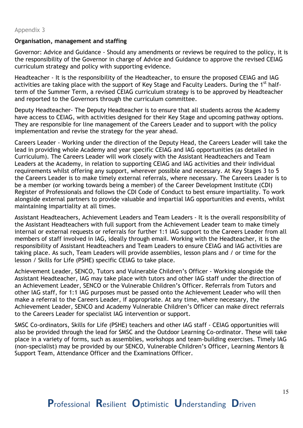#### **Organisation, management and staffing**

Governor: Advice and Guidance - Should any amendments or reviews be required to the policy, it is the responsibility of the Governor in charge of Advice and Guidance to approve the revised CEIAG curriculum strategy and policy with supporting evidence.

Headteacher - It is the responsibility of the Headteacher, to ensure the proposed CEIAG and IAG activities are taking place with the support of Key Stage and Faculty Leaders. During the 1<sup>st</sup> halfterm of the Summer Term, a revised CEIAG curriculum strategy is to be approved by Headteacher and reported to the Governors through the curriculum committee.

Deputy Headteacher- The Deputy Headteacher is to ensure that all students across the Academy have access to CEIAG, with activities designed for their Key Stage and upcoming pathway options. They are responsible for line management of the Careers Leader and to support with the policy implementation and revise the strategy for the year ahead.

Careers Leader - Working under the direction of the Deputy Head, the Careers Leader will take the lead in providing whole Academy and year specific CEIAG and IAG opportunities (as detailed in Curriculum). The Careers Leader will work closely with the Assistant Headteachers and Team Leaders at the Academy, in relation to supporting CEIAG and IAG activities and their individual requirements whilst offering any support, wherever possible and necessary. At Key Stages 3 to 5 the Careers Leader is to make timely external referrals, where necessary. The Careers Leader is to be a member (or working towards being a member) of the Career Development Institute (CDI) Register of Professionals and follows the CDI Code of Conduct to best ensure impartiality. To work alongside external partners to provide valuable and impartial IAG opportunities and events, whilst maintaining impartiality at all times.

Assistant Headteachers, Achievement Leaders and Team Leaders - It is the overall responsibility of the Assistant Headteachers with full support from the Achievement Leader team to make timely internal or external requests or referrals for further 1:1 IAG support to the Careers Leader from all members of staff involved in IAG, ideally through email. Working with the Headteacher, it is the responsibility of Assistant Headteachers and Team Leaders to ensure CEIAG and IAG activities are taking place. As such, Team Leaders will provide assemblies, lesson plans and / or time for the lesson / Skills for Life (PSHE) specific CEIAG to take place.

Achievement Leader, SENCO, Tutors and Vulnerable Children's Officer - Working alongside the Assistant Headteacher, IAG may take place with tutors and other IAG staff under the direction of an Achievement Leader, SENCO or the Vulnerable Children's Officer. Referrals from Tutors and other IAG staff, for 1:1 IAG purposes must be passed onto the Achievement Leader who will then make a referral to the Careers Leader, if appropriate. At any time, where necessary, the Achievement Leader, SENCO and Academy Vulnerable Children's Officer can make direct referrals to the Careers Leader for specialist IAG intervention or support.

SMSC Co-ordinators, Skills for Life (PSHE) teachers and other IAG staff - CEIAG opportunities will also be provided through the lead for SMSC and the Outdoor Learning Co-ordinator. These will take place in a variety of forms, such as assemblies, workshops and team-building exercises. Timely IAG (non-specialist) may be provided by our SENCO, Vulnerable Children's Officer, Learning Mentors & Support Team, Attendance Officer and the Examinations Officer.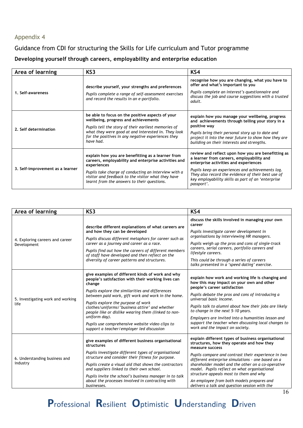# Appendix 4

# Guidance from CDI for structuring the Skills for Life curriculum and Tutor programme

# **Developing yourself through careers, employability and enterprise education**

| Area of learning                 | KS3                                                                                                                                                                                                                                                                                   | KS4                                                                                                                                                                                                                                                                                                                    |
|----------------------------------|---------------------------------------------------------------------------------------------------------------------------------------------------------------------------------------------------------------------------------------------------------------------------------------|------------------------------------------------------------------------------------------------------------------------------------------------------------------------------------------------------------------------------------------------------------------------------------------------------------------------|
| 1. Self-awareness                | describe yourself, your strengths and preferences<br>Pupils complete a range of self-assessment exercises<br>and record the results in an e-portfolio.                                                                                                                                | recognise how you are changing, what you have to<br>offer and what's important to you<br>Pupils complete an interest's questionnaire and<br>discuss the job and course suggestions with a trusted<br>adult.                                                                                                            |
| 2. Self determination            | be able to focus on the positive aspects of your<br>wellbeing, progress and achievements<br>Pupils tell the story of their earliest memories of<br>what they were good at and interested in. They look<br>for the positives in any negative experiences they<br>have had.             | explain how you manage your wellbeing, progress<br>and achievements through telling your story in a<br>positive way<br>Pupils bring their personal story up to date and<br>project it into the near future to show how they are<br>building on their interests and strengths.                                          |
| 3. Self-improvement as a learner | explain how you are benefitting as a learner from<br>careers, employability and enterprise activities and<br>experiences<br>Pupils take charge of conducting an interview with a<br>visitor and feedback to the visitor what they have<br>learnt from the answers to their questions. | review and reflect upon how you are benefitting as<br>a learner from careers, employability and<br>enterprise activities and experiences<br>Pupils keep an experiences and achievements log.<br>They also record the evidence of their best use of<br>key employability skills as part of an 'enterprise<br>passport'. |

| Area of learning                               | KS <sub>3</sub>                                                                                                                                                                                                                                                                                                                                                                                                                                                                           | KS4                                                                                                                                                                                                                                                                                                                                                                                                                                                                         |
|------------------------------------------------|-------------------------------------------------------------------------------------------------------------------------------------------------------------------------------------------------------------------------------------------------------------------------------------------------------------------------------------------------------------------------------------------------------------------------------------------------------------------------------------------|-----------------------------------------------------------------------------------------------------------------------------------------------------------------------------------------------------------------------------------------------------------------------------------------------------------------------------------------------------------------------------------------------------------------------------------------------------------------------------|
| 4. Exploring careers and career<br>Development | describe different explanations of what careers are<br>and how they can be developed<br>Pupils discuss different metaphors for career such as<br>career as a journey and career as a race.<br>Pupils find out how the careers of different members<br>of staff have developed and then reflect on the<br>diversity of career patterns and structures.                                                                                                                                     | discuss the skills involved in managing your own<br>career<br>Pupils investigate career development in<br>organisations by interviewing HR managers.<br>Pupils weigh up the pros and cons of single-track<br>careers, serial careers, portfolio careers and<br>lifestyle careers.<br>This could be through a series of careers<br>talks presented in a 'speed dating' exercise.                                                                                             |
| 5. Investigating work and working<br>life      | give examples of different kinds of work and why<br>people's satisfaction with their working lives can<br>change<br>Pupils explore the similarities and differences<br>between paid work, gift work and work in the home.<br>Pupils explore the purpose of work<br>clothes/uniforms/'business attire' and whether<br>people like or dislike wearing them (linked to non-<br>uniform day).<br>Pupils use comprehensive website video clips to<br>support a teacher/employer led discussion | explain how work and working life is changing and<br>how this may impact on your own and other<br>people's career satisfaction<br>Pupils debate the pros and cons of introducing a<br>universal basic income.<br>Pupils talk to alumni about how their jobs are likely<br>to change in the next 5-10 years.<br>Employers are invited into a humanities lesson and<br>support the teacher when discussing local changes to<br>work and the impact on society.                |
| 6. Understanding business and<br>industry      | give examples of different business organisational<br>structures<br>Pupils investigate different types of organisational<br>structure and consider their fitness for purpose.<br>Pupils create a visual aid that shows the contractors<br>and suppliers linked to their own school.<br>Pupils invite the school's business manager in to talk<br>about the processes involved in contracting with<br>businesses.                                                                          | explain different types of business organisational<br>structures, how they operate and how they<br>measure success<br>Pupils compare and contrast their experience in two<br>different enterprise simulations - one based on a<br>shareholder model and the other on a co-operative<br>model. Pupils reflect on what organisational<br>structure appeals most to them and why<br>An employee from both models prepares and<br>delivers a talk and question session with the |

Professional Resilient Optimistic Understanding Driven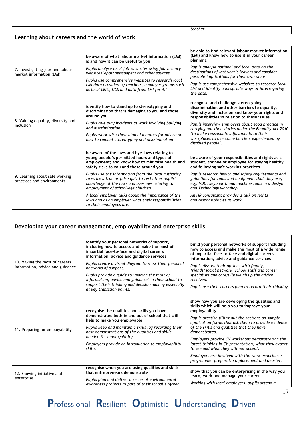|                                              |  | teacher. |
|----------------------------------------------|--|----------|
| Learning about careers and the world of work |  |          |

| 7. Investigating jobs and labour<br>market information (LMI) | be aware of what labour market information (LMI)<br>is and how it can be useful to you<br>Pupils analyse local job vacancies using job vacancy<br>websites/apps/newspapers and other sources.<br>Pupils use comprehensive websites to research local<br>LMI data provided by teachers, employer groups such<br>as local LEPs, NCS and data from LMI for All                                                                                                                                                                               | be able to find relevant labour market information<br>(LMI) and know how to use it in your career<br>planning<br>Pupils analyse national and local data on the<br>destinations of last year's leavers and consider<br>possible implications for their own plans.<br>Pupils use comprehensive websites to research local<br>LMI and identify appropriate ways of interrogating<br>the data.                                   |
|--------------------------------------------------------------|-------------------------------------------------------------------------------------------------------------------------------------------------------------------------------------------------------------------------------------------------------------------------------------------------------------------------------------------------------------------------------------------------------------------------------------------------------------------------------------------------------------------------------------------|------------------------------------------------------------------------------------------------------------------------------------------------------------------------------------------------------------------------------------------------------------------------------------------------------------------------------------------------------------------------------------------------------------------------------|
| 8. Valuing equality, diversity and<br>inclusion              | identify how to stand up to stereotyping and<br>discrimination that is damaging to you and those<br>around you<br>Pupils role play incidents at work involving bullying<br>and discrimination<br>Pupils work with their alumni mentors for advice on<br>how to combat stereotyping and discrimination                                                                                                                                                                                                                                     | recognise and challenge stereotyping,<br>discrimination and other barriers to equality,<br>diversity and inclusion and know your rights and<br>responsibilities in relation to these issues<br>Pupils interview employers about good practice in<br>carrying out their duties under the Equality Act 2010<br>'to make reasonable adjustments to their<br>workplaces to overcome barriers experienced by<br>disabled people'. |
| 9. Learning about safe working<br>practices and environments | be aware of the laws and bye-laws relating to<br>young people's permitted hours and types of<br>employment; and know how to minimise health and<br>safety risks to you and those around you<br>Pupils use the information from the local authority<br>to write a true or false quiz to test other pupils'<br>knowledge of the laws and bye-laws relating to<br>employment of school-age children.<br>A local employer talks about the importance of the<br>laws and as an employer what their responsibilities<br>to their employees are. | be aware of your responsibilities and rights as a<br>student, trainee or employee for staying healthy<br>and following safe working practices<br>Pupils research health and safety requirements and<br>guidelines for tools and equipment that they use,<br>e.g. VDU, keyboard, and machine tools in a Design<br>and Technology workshop.<br>An HR consultant provides a talk on rights<br>and responsibilities at work      |

# **Developing your career management, employability and enterprise skills**

| 10. Making the most of careers<br>information, advice and guidance | identify your personal networks of support,<br>including how to access and make the most of<br>impartial face-to-face and digital careers<br>information, advice and guidance services<br>Pupils create a visual diagram to show their personal<br>networks of support.<br>Pupils provide a guide to 'making the most of<br>information, advice and guidance' in their school to<br>support their thinking and decision making especially<br>at key transition points. | build your personal networks of support including<br>how to access and make the most of a wide range<br>of impartial face-to-face and digital careers<br>information, advice and guidance services<br>Pupils discuss their options with family,<br>friends/social network, school staff and career<br>specialists and carefully weigh up the advice<br>received.<br>Pupils use their careers plan to record their thinking                                                                                                                         |
|--------------------------------------------------------------------|------------------------------------------------------------------------------------------------------------------------------------------------------------------------------------------------------------------------------------------------------------------------------------------------------------------------------------------------------------------------------------------------------------------------------------------------------------------------|----------------------------------------------------------------------------------------------------------------------------------------------------------------------------------------------------------------------------------------------------------------------------------------------------------------------------------------------------------------------------------------------------------------------------------------------------------------------------------------------------------------------------------------------------|
| 11. Preparing for employability                                    | recognise the qualities and skills you have<br>demonstrated both in and out of school that will<br>help to make you employable<br>Pupils keep and maintain a skills log recording their<br>best demonstrations of the qualities and skills<br>needed for employability.<br>Employers provide an introduction to employability<br>skills.                                                                                                                               | show how you are developing the qualities and<br>skills which will help you to improve your<br>employability<br>Pupils practise filling out the sections on sample<br>application forms that ask them to provide evidence<br>of the skills and qualities that they have<br>demonstrated.<br>Employers provide CV workshops demonstrating the<br>latest thinking in CV presentation, what they expect<br>to see and what they will not accept.<br>Employers are involved with the work experience<br>programme, preparation, placement and debrief. |
| 12. Showing initiative and<br>enterprise                           | recognise when you are using qualities and skills<br>that entrepreneurs demonstrate<br>Pupils plan and deliver a series of environmental<br>awareness projects as part of their school's 'green                                                                                                                                                                                                                                                                        | show that you can be enterprising in the way you<br>learn, work and manage your career<br>Working with local employers, pupils attend a                                                                                                                                                                                                                                                                                                                                                                                                            |

# Professional Resilient Optimistic Understanding Driven